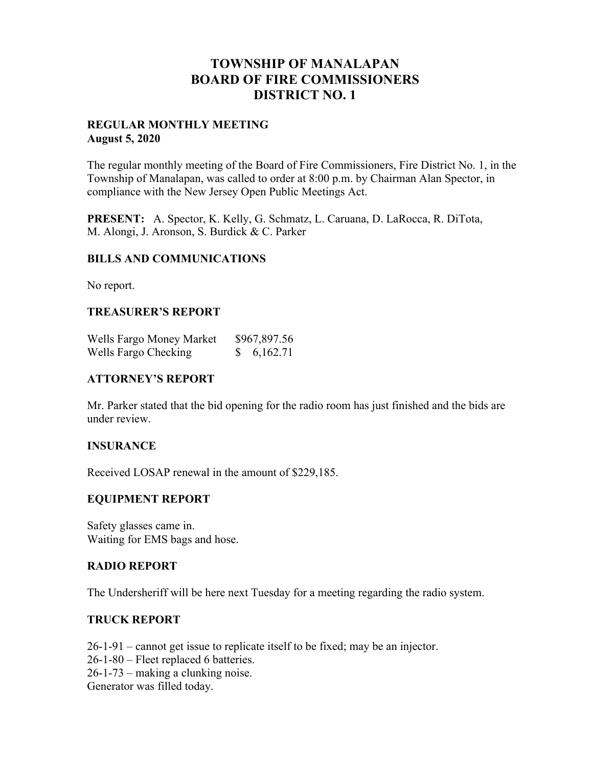## **TOWNSHIP OF MANALAPAN BOARD OF FIRE COMMISSIONERS DISTRICT NO. 1**

## **REGULAR MONTHLY MEETING August 5, 2020**

The regular monthly meeting of the Board of Fire Commissioners, Fire District No. 1, in the Township of Manalapan, was called to order at 8:00 p.m. by Chairman Alan Spector, in compliance with the New Jersey Open Public Meetings Act.

**PRESENT:** A. Spector, K. Kelly, G. Schmatz, L. Caruana, D. LaRocca, R. DiTota, M. Alongi, J. Aronson, S. Burdick & C. Parker

## **BILLS AND COMMUNICATIONS**

No report.

## **TREASURER'S REPORT**

| Wells Fargo Money Market | \$967,897.56 |
|--------------------------|--------------|
| Wells Fargo Checking     | 6,162.71     |

## **ATTORNEY'S REPORT**

Mr. Parker stated that the bid opening for the radio room has just finished and the bids are under review.

## **INSURANCE**

Received LOSAP renewal in the amount of \$229,185.

## **EQUIPMENT REPORT**

Safety glasses came in. Waiting for EMS bags and hose.

## **RADIO REPORT**

The Undersheriff will be here next Tuesday for a meeting regarding the radio system.

## **TRUCK REPORT**

26-1-91 – cannot get issue to replicate itself to be fixed; may be an injector. 26-1-80 – Fleet replaced 6 batteries. 26-1-73 – making a clunking noise. Generator was filled today.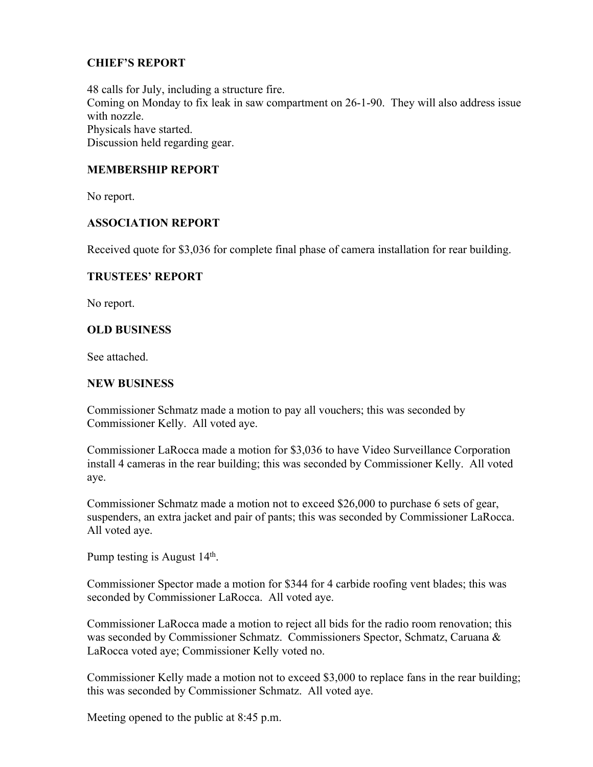## **CHIEF'S REPORT**

48 calls for July, including a structure fire. Coming on Monday to fix leak in saw compartment on 26-1-90. They will also address issue with nozzle. Physicals have started. Discussion held regarding gear.

## **MEMBERSHIP REPORT**

No report.

## **ASSOCIATION REPORT**

Received quote for \$3,036 for complete final phase of camera installation for rear building.

#### **TRUSTEES' REPORT**

No report.

## **OLD BUSINESS**

See attached.

#### **NEW BUSINESS**

Commissioner Schmatz made a motion to pay all vouchers; this was seconded by Commissioner Kelly. All voted aye.

Commissioner LaRocca made a motion for \$3,036 to have Video Surveillance Corporation install 4 cameras in the rear building; this was seconded by Commissioner Kelly. All voted aye.

Commissioner Schmatz made a motion not to exceed \$26,000 to purchase 6 sets of gear, suspenders, an extra jacket and pair of pants; this was seconded by Commissioner LaRocca. All voted aye.

Pump testing is August  $14<sup>th</sup>$ .

Commissioner Spector made a motion for \$344 for 4 carbide roofing vent blades; this was seconded by Commissioner LaRocca. All voted aye.

Commissioner LaRocca made a motion to reject all bids for the radio room renovation; this was seconded by Commissioner Schmatz. Commissioners Spector, Schmatz, Caruana & LaRocca voted aye; Commissioner Kelly voted no.

Commissioner Kelly made a motion not to exceed \$3,000 to replace fans in the rear building; this was seconded by Commissioner Schmatz. All voted aye.

Meeting opened to the public at 8:45 p.m.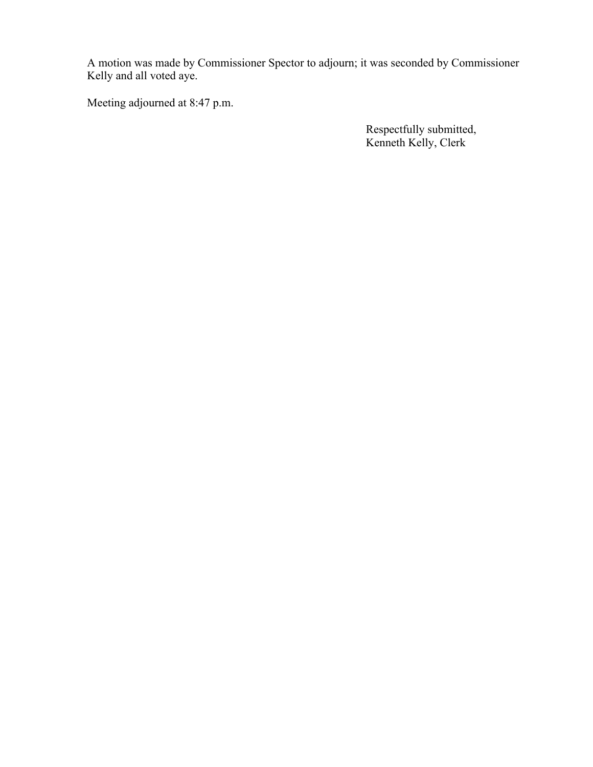A motion was made by Commissioner Spector to adjourn; it was seconded by Commissioner Kelly and all voted aye.

Meeting adjourned at 8:47 p.m.

 Respectfully submitted, Kenneth Kelly, Clerk